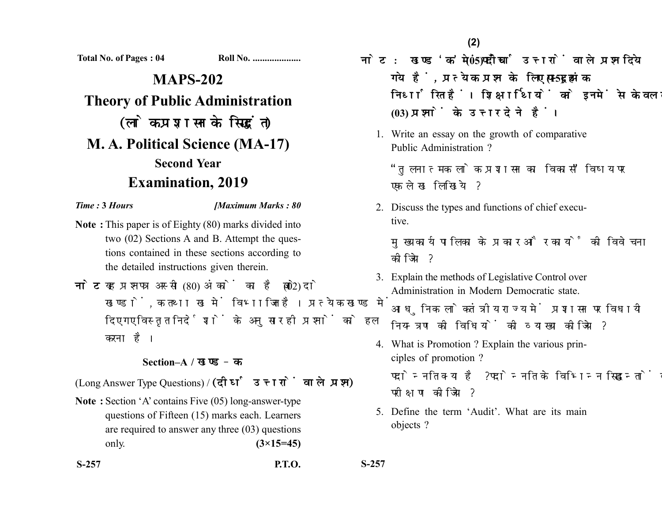**(2)**

**Total No. of Pages : 04 Roll No. ....................**

**MAPS-202 Theory of Public Administration** (लोक प्रशासन के सिद्धांत) **M. A. Political Science (MA-17) Second Year Examination, 2019**

*Time :* **3** *Hours [Maximum Marks : 80*

- **Note :** This paper is of Eighty (80) marks divided into two (02) Sections A and B. Attempt the questions contained in these sections according to the detailed instructions given therein.
- नोट: यह प्रश्नपत्र अस्सी (80) अंकों का है जो दो (02) खण्डों, क तथा ख में विभाजित है। प्रत्येक खण्ड में दिए गए विस्तृत निर्देशों के अनुसार ही प्रश्नों को हल करना है।

## **Section–A /**

(Long Answer Type Questions) / (दीर्घ उत्तरों वाले प्रश्न)

**Note :** Section 'A' contains Five (05) long-answer-type questions of Fifteen (15) marks each. Learners are required to answer any three (03) questions only. **(3×15=45)**

- <u>नोट: खण्ड'क'में पाँच (05) दीर्घ उत्तरों वाले प्रश्न दिये</u> गये हैं, प्रत्येक प्रश्न के लिए पन्द्रह (15) अंक निर्धारित हैं। शिक्षार्थियों को इनमें से केवल तीन **(03)** 
	- 1. Write an essay on the growth of comparative Public Administration ?

''तलनात्मक लोक प्रशासन का विकास'' विषय पर एक लेख लिखिये ?

2. Discuss the types and functions of chief executive.

मुख्य कार्यपालिका के प्रकार और कार्यों की विवेचना कोजिये ?

- 3. Explain the methods of Legislative Control over Administration in Modern Democratic state. आधुनिक लोकतंत्रीय राज्य में प्रशासन पर विधायी नियन्त्रण की विधियों की व्याख्या कीजिये ?
- 4. What is Promotion ? Explain the various principles of promotion ? पदोन्नति क्या है ? पदोन्नति के विभिन्न सिद्धान्तों का परीक्षण कीजिये ?
- 5. Define the term 'Audit'. What are its main objects ?

**S-257 P.T.O. S-257**